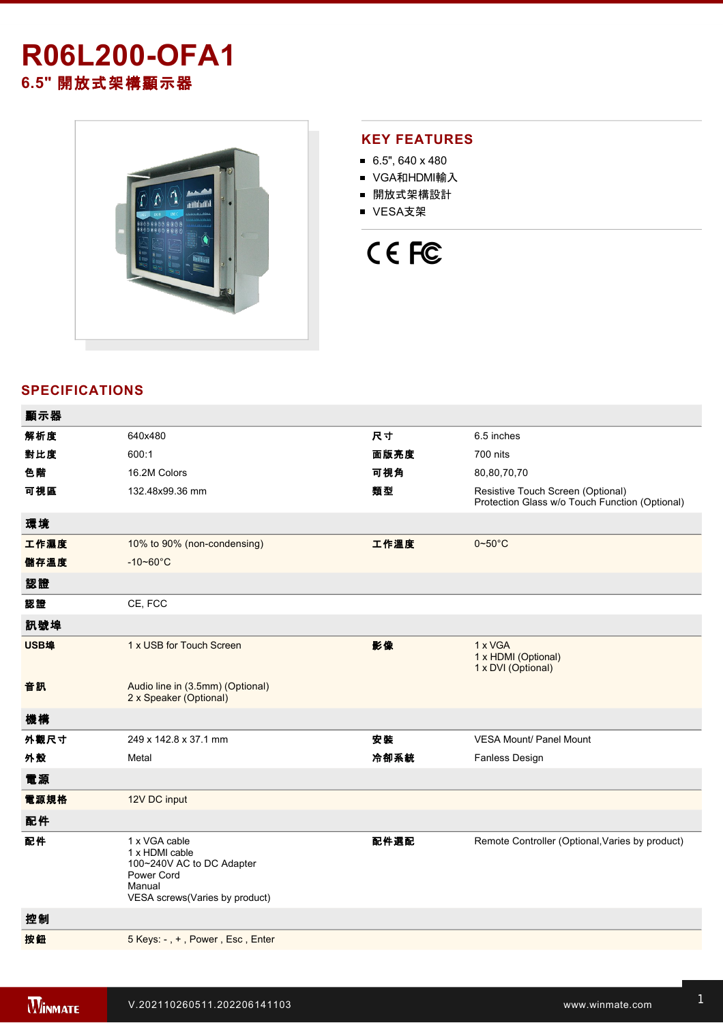# **R06L200-OFA1 6.5"** 開放式架構顯示器



### **KEY FEATURES**

- $6.5$ ", 640 x 480
- VGA和HDMI輸入
- 開放式架構設計
- VESA支架



## **SPECIFICATIONS**

| 顯示器  |                                                                                                                        |      |                                                                                     |
|------|------------------------------------------------------------------------------------------------------------------------|------|-------------------------------------------------------------------------------------|
| 解析度  | 640x480                                                                                                                | 尺寸   | 6.5 inches                                                                          |
| 對比度  | 600:1                                                                                                                  | 面版亮度 | 700 nits                                                                            |
| 色階   | 16.2M Colors                                                                                                           | 可視角  | 80,80,70,70                                                                         |
| 可視區  | 132.48x99.36 mm                                                                                                        | 類型   | Resistive Touch Screen (Optional)<br>Protection Glass w/o Touch Function (Optional) |
| 環境   |                                                                                                                        |      |                                                                                     |
| 工作濕度 | 10% to 90% (non-condensing)                                                                                            | 工作溫度 | $0 - 50$ °C                                                                         |
| 儲存溫度 | $-10 - 60^{\circ}C$                                                                                                    |      |                                                                                     |
| 認證   |                                                                                                                        |      |                                                                                     |
| 認證   | CE, FCC                                                                                                                |      |                                                                                     |
| 訊號埠  |                                                                                                                        |      |                                                                                     |
| USB埠 | 1 x USB for Touch Screen                                                                                               | 影像   | 1 x VGA<br>1 x HDMI (Optional)<br>1 x DVI (Optional)                                |
| 音訊   | Audio line in (3.5mm) (Optional)<br>2 x Speaker (Optional)                                                             |      |                                                                                     |
| 機構   |                                                                                                                        |      |                                                                                     |
| 外觀尺寸 | 249 x 142.8 x 37.1 mm                                                                                                  | 安裝   | <b>VESA Mount/ Panel Mount</b>                                                      |
| 外殼   | Metal                                                                                                                  | 冷卻系統 | <b>Fanless Design</b>                                                               |
| 電源   |                                                                                                                        |      |                                                                                     |
| 電源規格 | 12V DC input                                                                                                           |      |                                                                                     |
| 配件   |                                                                                                                        |      |                                                                                     |
| 配件   | 1 x VGA cable<br>1 x HDMI cable<br>100~240V AC to DC Adapter<br>Power Cord<br>Manual<br>VESA screws(Varies by product) | 配件選配 | Remote Controller (Optional, Varies by product)                                     |
| 控制   |                                                                                                                        |      |                                                                                     |
| 按鈕   | 5 Keys: -, +, Power, Esc, Enter                                                                                        |      |                                                                                     |
|      |                                                                                                                        |      |                                                                                     |

**DIMENSIONS**  UNIT:MM